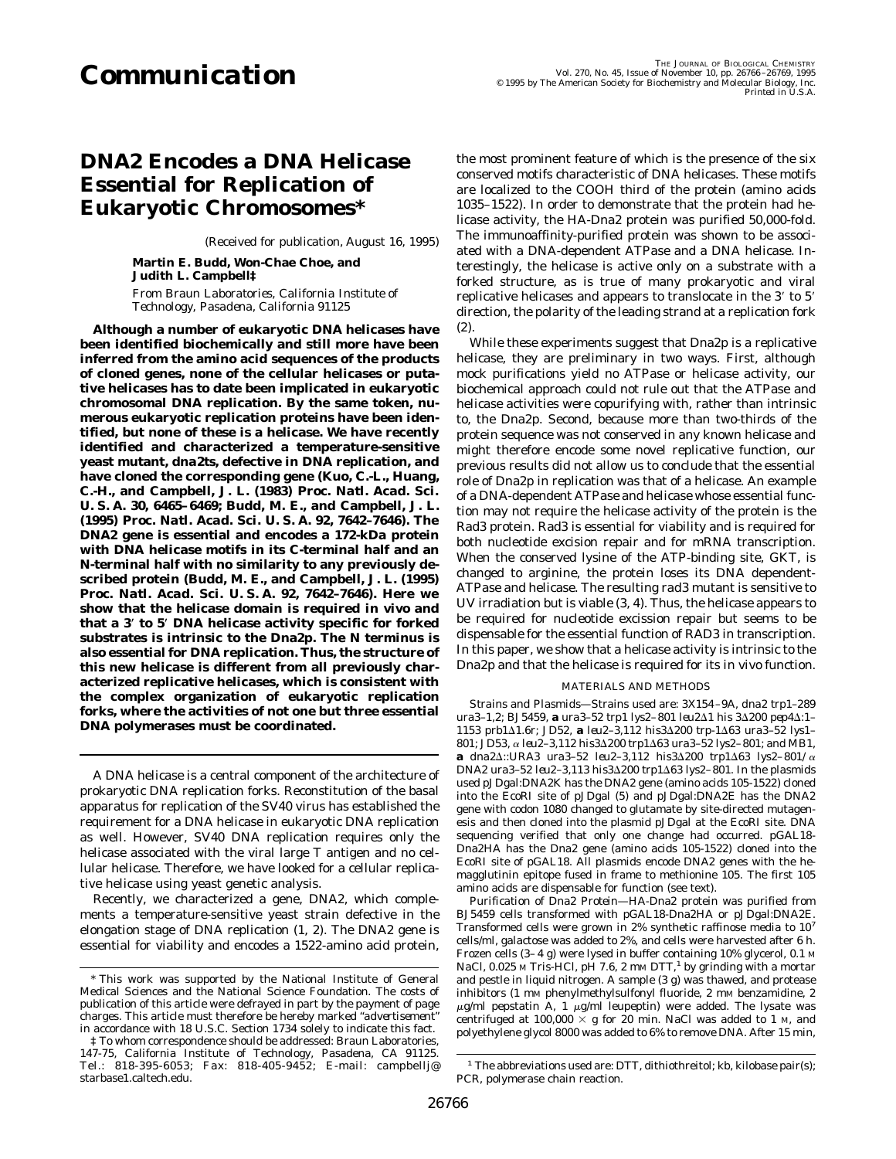# *DNA2* **Encodes a DNA Helicase Essential for Replication of Eukaryotic Chromosomes\***

(Received for publication, August 16, 1995)

**Martin E. Budd, Won-Chae Choe, and Judith L. Campbell‡** *From Braun Laboratories, California Institute of Technology, Pasadena, California 91125*

**Although a number of eukaryotic DNA helicases have been identified biochemically and still more have been inferred from the amino acid sequences of the products of cloned genes, none of the cellular helicases or putative helicases has to date been implicated in eukaryotic chromosomal DNA replication. By the same token, numerous eukaryotic replication proteins have been identified, but none of these is a helicase. We have recently identified and characterized a temperature-sensitive yeast mutant,** *dna2ts***, defective in DNA replication, and have cloned the corresponding gene (Kuo, C.-L., Huang, C.-H., and Campbell, J. L. (1983)** *Proc. Natl. Acad. Sci. U. S. A.* **30, 6465– 6469; Budd, M. E., and Campbell, J. L. (1995)** *Proc. Natl. Acad. Sci. U. S. A.* **92, 7642–7646). The** *DNA2* **gene is essential and encodes a 172-kDa protein with DNA helicase motifs in its C-terminal half and an N-terminal half with no similarity to any previously described protein (Budd, M. E., and Campbell, J. L. (1995)** *Proc. Natl. Acad. Sci. U. S. A.* **92, 7642–7646). Here we show that the helicase domain is required** *in vivo* **and that a 3**\* **to 5**\* **DNA helicase activity specific for forked substrates is intrinsic to the Dna2p. The N terminus is also essential for DNA replication. Thus, the structure of this new helicase is different from all previously characterized replicative helicases, which is consistent with the complex organization of eukaryotic replication forks, where the activities of not one but three essential DNA polymerases must be coordinated.**

A DNA helicase is a central component of the architecture of prokaryotic DNA replication forks. Reconstitution of the basal apparatus for replication of the SV40 virus has established the requirement for a DNA helicase in eukaryotic DNA replication as well. However, SV40 DNA replication requires only the helicase associated with the viral large T antigen and no cellular helicase. Therefore, we have looked for a cellular replicative helicase using yeast genetic analysis.

Recently, we characterized a gene, *DNA2*, which complements a temperature-sensitive yeast strain defective in the elongation stage of DNA replication (1, 2). The *DNA2* gene is essential for viability and encodes a 1522-amino acid protein,

the most prominent feature of which is the presence of the six conserved motifs characteristic of DNA helicases. These motifs are localized to the COOH third of the protein (amino acids 1035–1522). In order to demonstrate that the protein had helicase activity, the HA-Dna2 protein was purified 50,000-fold. The immunoaffinity-purified protein was shown to be associated with a DNA-dependent ATPase and a DNA helicase. Interestingly, the helicase is active only on a substrate with a forked structure, as is true of many prokaryotic and viral replicative helicases and appears to translocate in the 3' to 5' direction, the polarity of the leading strand at a replication fork (2).

While these experiments suggest that Dna2p is a replicative helicase, they are preliminary in two ways. First, although mock purifications yield no ATPase or helicase activity, our biochemical approach could not rule out that the ATPase and helicase activities were copurifying with, rather than intrinsic to, the Dna2p. Second, because more than two-thirds of the protein sequence was not conserved in any known helicase and might therefore encode some novel replicative function, our previous results did not allow us to conclude that the essential role of Dna2p in replication was that of a helicase. An example of a DNA-dependent ATPase and helicase whose essential function may not require the helicase activity of the protein is the Rad3 protein. Rad3 is essential for viability and is required for both nucleotide excision repair and for mRNA transcription. When the conserved lysine of the ATP-binding site, GKT, is changed to arginine, the protein loses its DNA dependent-ATPase and helicase. The resulting *rad3* mutant is sensitive to UV irradiation but is viable (3, 4). Thus, the helicase appears to be required for nucleotide excission repair but seems to be dispensable for the essential function of *RAD3* in transcription. In this paper, we show that a helicase activity is intrinsic to the Dna2p and that the helicase is required for its *in vivo* function.

### MATERIALS AND METHODS

*Strains and Plasmids—*Strains used are: 3X154 –9A, *dna2 trp1–289*  $ura3-1,2; BJ5459, a ura3-52 trp1 lys2-801 leu2∆1 his 3∆200 pep4∆:1 1153$  prb1∆1.6r; JD52, **a** *leu2-3,112 his3*∆200 trp-1∆63 ura3-52 lys1-*801;* JD53, <sup>a</sup> *leu2–3,112 his3*D*200 trp1*D*63 ura3–52 lys2– 801;* and MB1, a *dna2∆::URA3 ura3-52 leu2-3,112 his3∆200 trp1∆63 lys2-801/*α *DNA2 ura3-52 leu2-3,113 his3∆200 trp1∆63 lys2-801.* In the plasmids used pJDgal:DNA2K has the DNA2 gene (amino acids 105-1522) cloned into the *Eco*RI site of pJDgal (5) and pJDgal:DNA2E has the DNA2 gene with codon 1080 changed to glutamate by site-directed mutagenesis and then cloned into the plasmid pJDgal at the *Eco*RI site. DNA sequencing verified that only one change had occurred. pGAL18- Dna2HA has the Dna2 gene (amino acids 105-1522) cloned into the *Eco*RI site of pGAL18. All plasmids encode *DNA2* genes with the hemagglutinin epitope fused in frame to methionine 105. The first 105 amino acids are dispensable for function (see text).

*Purification of Dna2 Protein—*HA-Dna2 protein was purified from BJ5459 cells transformed with pGAL18-Dna2HA or pJDgal:DNA2E. Transformed cells were grown in 2% synthetic raffinose media to 107 cells/ml, galactose was added to 2%, and cells were harvested after 6 h. Frozen cells (3-4 g) were lysed in buffer containing 10% glycerol, 0.1 M NaCl, 0.025 M Tris-HCl, pH 7.6, 2 mM DTT, $<sup>1</sup>$  by grinding with a mortar</sup> and pestle in liquid nitrogen. A sample (3 g) was thawed, and protease inhibitors (1 mM phenylmethylsulfonyl fluoride, 2 mM benzamidine, 2  $\mu$ g/ml pepstatin A, 1  $\mu$ g/ml leupeptin) were added. The lysate was centrifuged at 100,000  $\times$  g for 20 min. NaCl was added to 1 M, and polyethylene glycol 8000 was added to 6% to remove DNA. After 15 min,

<sup>\*</sup> This work was supported by the National Institute of General Medical Sciences and the National Science Foundation. The costs of publication of this article were defrayed in part by the payment of page charges. This article must therefore be hereby marked "*advertisement*" in accordance with 18 U.S.C. Section 1734 solely to indicate this fact.

<sup>‡</sup> To whom correspondence should be addressed: Braun Laboratories, 147-75, California Institute of Technology, Pasadena, CA 91125. Tel.: 818-395-6053; Fax: 818-405-9452; E-mail: campbellj@ starbase1.caltech.edu.

<sup>&</sup>lt;sup>1</sup> The abbreviations used are: DTT, dithiothreitol; kb, kilobase pair(s); PCR, polymerase chain reaction.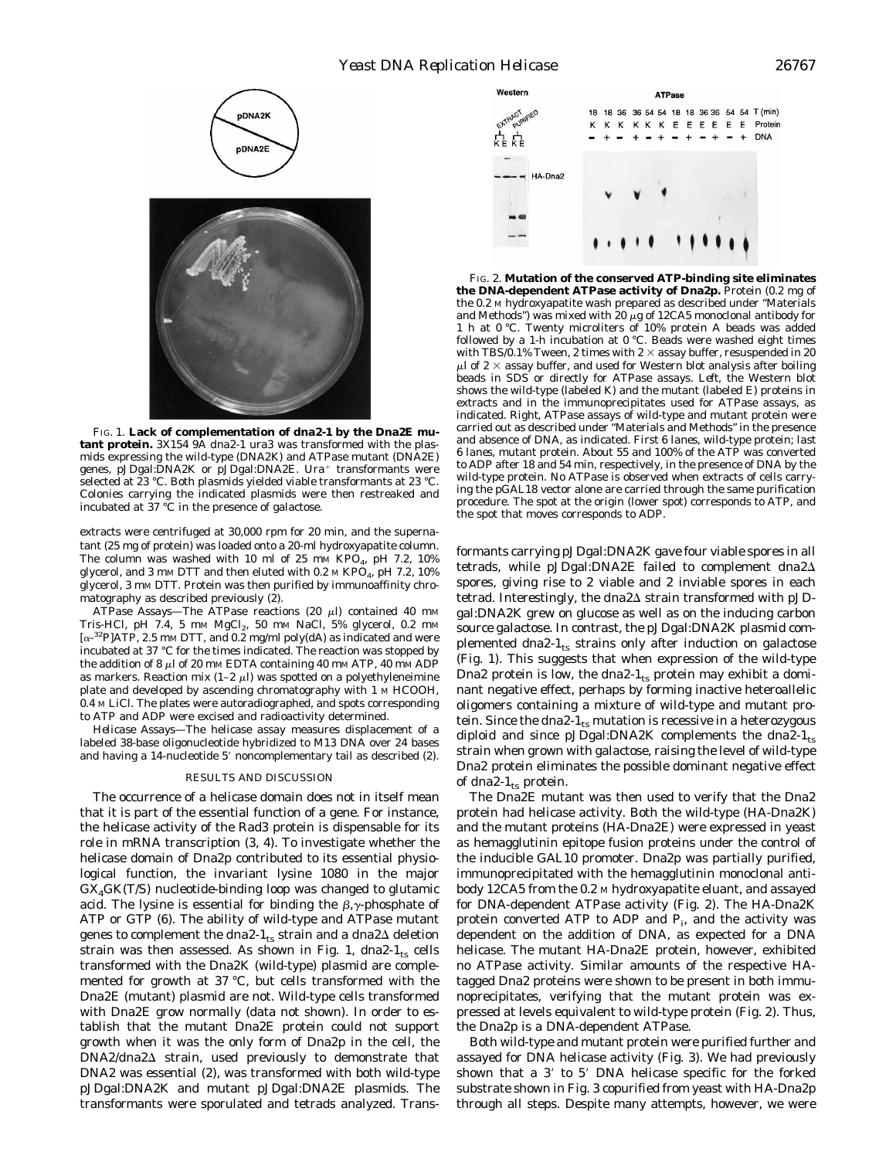

FIG. 1. **Lack of complementation of** *dna2-1* **by the Dna2E mutant protein.** 3X154 9A *dna2-1 ura3* was transformed with the plasmids expressing the wild-type (*DNA2K*) and ATPase mutant (*DNA2E*) genes, pJDgal: $DNA2K$  or pJDgal: $DNA2E$ . Ura<sup>+</sup> transformants were selected at 23 °C. Both plasmids yielded viable transformants at 23 °C. Colonies carrying the indicated plasmids were then restreaked and incubated at 37 °C in the presence of galactose.

extracts were centrifuged at 30,000 rpm for 20 min, and the supernatant (25 mg of protein) was loaded onto a 20-ml hydroxyapatite column. The column was washed with 10 ml of 25 mm KPO<sub>4</sub>, pH 7.2, 10% glycerol, and 3 mm DTT and then eluted with 0.2 m KPO<sub>4</sub>, pH 7.2, 10% glycerol, 3 mm DTT. Protein was then purified by immunoaffinity chromatography as described previously (2).

ATPase Assays—The ATPase reactions (20 µl) contained 40 mm Tris-HCl, pH 7.4, 5 mm  $MgCl<sub>2</sub>$ , 50 mm NaCl, 5% glycerol, 0.2 mm  $[\alpha^{-32}P]ATP$ , 2.5 mm DTT, and 0.2 mg/ml poly(dA) as indicated and were incubated at 37 °C for the times indicated. The reaction was stopped by the addition of 8  $\mu$ l of 20 mm EDTA containing 40 mm ATP, 40 mm ADP as markers. Reaction mix (1–2  $\mu$ l) was spotted on a polyethyleneimine plate and developed by ascending chromatography with 1 M HCOOH, 0.4 M LiCl. The plates were autoradiographed, and spots corresponding to ATP and ADP were excised and radioactivity determined.

*Helicase Assays—*The helicase assay measures displacement of a labeled 38-base oligonucleotide hybridized to M13 DNA over 24 bases and having a 14-nucleotide 5' noncomplementary tail as described (2).

# RESULTS AND DISCUSSION

The occurrence of a helicase domain does not in itself mean that it is part of the essential function of a gene. For instance, the helicase activity of the Rad3 protein is dispensable for its role in mRNA transcription (3, 4). To investigate whether the helicase domain of Dna2p contributed to its essential physiological function, the invariant lysine 1080 in the major G*X*4GK(T/S) nucleotide-binding loop was changed to glutamic acid. The lysine is essential for binding the  $\beta$ ,  $\gamma$ -phosphate of ATP or GTP (6). The ability of wild-type and ATPase mutant genes to complement the *dna2-1*<sub>ts</sub> strain and a *dna2*Δ deletion strain was then assessed. As shown in Fig. 1, dna2- $1_{ts}$  cells transformed with the Dna2K (wild-type) plasmid are complemented for growth at 37 °C, but cells transformed with the Dna2E (mutant) plasmid are not. Wild-type cells transformed with Dna2E grow normally (data not shown). In order to establish that the mutant Dna2E protein could not support growth when it was the only form of Dna2p in the cell, the *DNA2*/*dna2*D strain, used previously to demonstrate that DNA2 was essential (2), was transformed with both wild-type pJDgal:DNA2K and mutant pJDgal:DNA2E plasmids. The transformants were sporulated and tetrads analyzed. Trans-



FIG. 2. **Mutation of the conserved ATP-binding site eliminates the DNA-dependent ATPase activity of Dna2p.** Protein (0.2 mg of the 0.2 M hydroxyapatite wash prepared as described under "Materials and Methods") was mixed with 20  $\mu$ g of 12CA5 monoclonal antibody for 1 h at 0 °C. Twenty microliters of 10% protein A beads was added followed by a 1-h incubation at 0 °C. Beads were washed eight times with TBS/0.1% Tween, 2 times with 2  $\times$  assay buffer, resuspended in 20  $\mu$ l of 2  $\times$  assay buffer, and used for Western blot analysis after boiling beads in SDS or directly for ATPase assays. *Left*, the Western blot shows the wild-type (labeled *K*) and the mutant (labeled *E*) proteins in extracts and in the immunoprecipitates used for ATPase assays, as indicated. *Right*, ATPase assays of wild-type and mutant protein were carried out as described under "Materials and Methods" in the presence and absence of DNA, as indicated. *First 6 lanes*, wild-type protein; *last 6 lanes*, mutant protein. About 55 and 100% of the ATP was converted to ADP after 18 and 54 min, respectively, in the presence of DNA by the wild-type protein. No ATPase is observed when extracts of cells carrying the pGAL18 vector alone are carried through the same purification procedure. The spot at the origin (lower spot) corresponds to ATP, and the spot that moves corresponds to ADP.

formants carrying pJDgal:DNA2K gave four viable spores in all tetrads, while pJDgal:DNA2E failed to complement *dna2*D spores, giving rise to 2 viable and 2 inviable spores in each tetrad. Interestingly, the *dna2* $\Delta$  strain transformed with pJDgal:DNA2K grew on glucose as well as on the inducing carbon source galactose. In contrast, the pJDgal:DNA2K plasmid complemented dna2- $1_{ts}$  strains only after induction on galactose (Fig. 1). This suggests that when expression of the wild-type Dna2 protein is low, the *dna2-1*<sub>ts</sub> protein may exhibit a dominant negative effect, perhaps by forming inactive heteroallelic oligomers containing a mixture of wild-type and mutant protein. Since the *dna2-1*<sub>ts</sub> mutation is recessive in a heterozygous diploid and since pJDgal:DNA2K complements the *dna2-1*ts strain when grown with galactose, raising the level of wild-type Dna2 protein eliminates the possible dominant negative effect of  $dna2-1$ <sub>ts</sub> protein.

The Dna2E mutant was then used to verify that the Dna2 protein had helicase activity. Both the wild-type (HA-Dna2K) and the mutant proteins (HA-Dna2E) were expressed in yeast as hemagglutinin epitope fusion proteins under the control of the inducible *GAL10* promoter. Dna2p was partially purified, immunoprecipitated with the hemagglutinin monoclonal antibody 12CA5 from the 0.2 M hydroxyapatite eluant, and assayed for DNA-dependent ATPase activity (Fig. 2). The HA-Dna2K protein converted ATP to ADP and  $P_i$ , and the activity was dependent on the addition of DNA, as expected for a DNA helicase. The mutant HA-Dna2E protein, however, exhibited no ATPase activity. Similar amounts of the respective HAtagged Dna2 proteins were shown to be present in both immunoprecipitates, verifying that the mutant protein was expressed at levels equivalent to wild-type protein (Fig. 2). Thus, the Dna2p is a DNA-dependent ATPase.

Both wild-type and mutant protein were purified further and assayed for DNA helicase activity (Fig. 3). We had previously shown that a  $3'$  to  $5'$  DNA helicase specific for the forked substrate shown in Fig. 3 copurified from yeast with HA-Dna2p through all steps. Despite many attempts, however, we were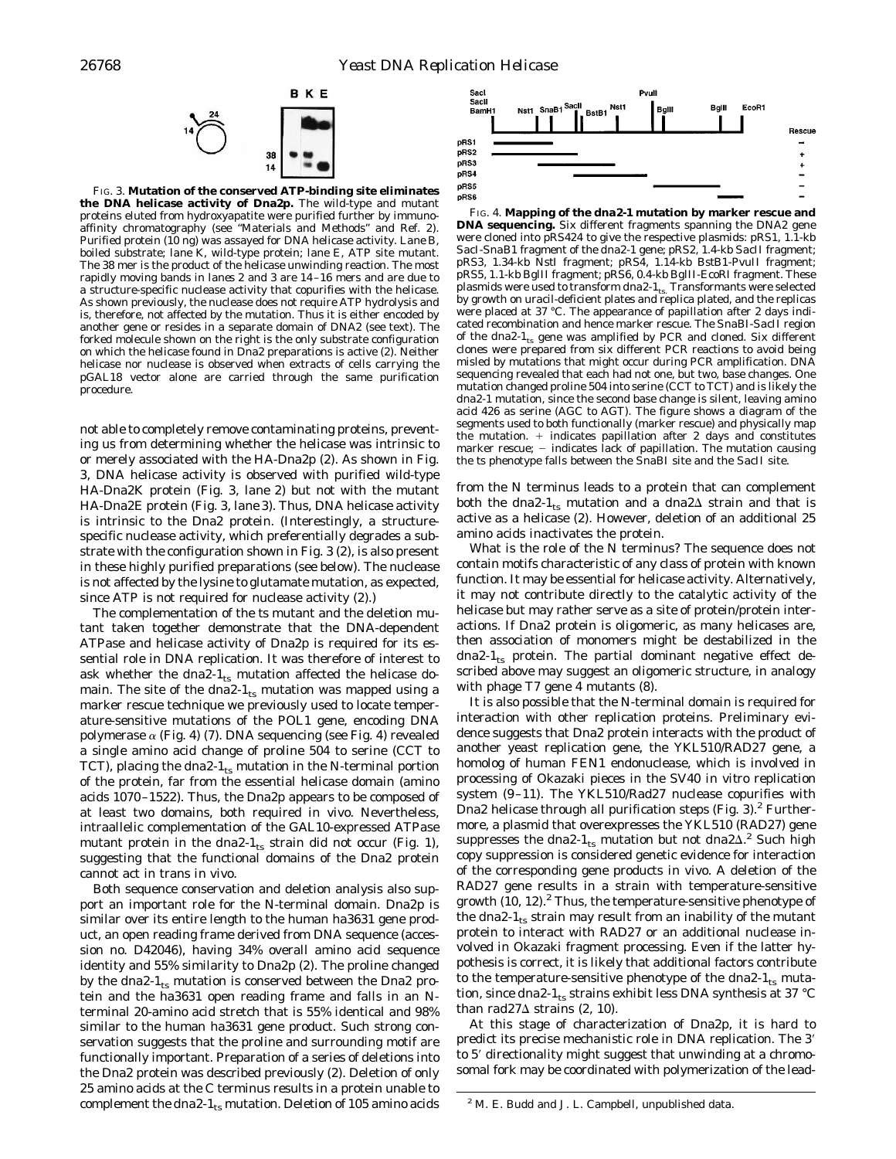

FIG. 3. **Mutation of the conserved ATP-binding site eliminates the DNA helicase activity of Dna2p.** The wild-type and mutant proteins eluted from hydroxyapatite were purified further by immunoaffinity chromatography (see "Materials and Methods" and Ref. 2). Purified protein (10 ng) was assayed for DNA helicase activity. *Lane B*, boiled substrate; *lane K*, wild-type protein; *lane E*, ATP site mutant. The 38 mer is the product of the helicase unwinding reaction. The most rapidly moving bands in *lanes 2* and *3* are 14 –16 mers and are due to a structure-specific nuclease activity that copurifies with the helicase. As shown previously, the nuclease does not require ATP hydrolysis and is, therefore, not affected by the mutation. Thus it is either encoded by another gene or resides in a separate domain of *DNA2* (see text). The forked molecule shown on the *right* is the only substrate configuration on which the helicase found in Dna2 preparations is active (2). Neither helicase nor nuclease is observed when extracts of cells carrying the pGAL18 vector alone are carried through the same purification procedure.

not able to completely remove contaminating proteins, preventing us from determining whether the helicase was intrinsic to or merely associated with the HA-Dna2p (2). As shown in Fig. 3, DNA helicase activity is observed with purified wild-type HA-Dna2K protein (Fig. 3, *lane 2*) but not with the mutant HA-Dna2E protein (Fig. 3, *lane 3*). Thus, DNA helicase activity is intrinsic to the Dna2 protein. (Interestingly, a structurespecific nuclease activity, which preferentially degrades a substrate with the configuration shown in Fig. 3 (2), is also present in these highly purified preparations (see below). The nuclease is not affected by the lysine to glutamate mutation, as expected, since ATP is not required for nuclease activity (2).)

The complementation of the *ts* mutant and the deletion mutant taken together demonstrate that the DNA-dependent ATPase and helicase activity of Dna2p is required for its essential role in DNA replication. It was therefore of interest to ask whether the  $dna2-I_{ts}$  mutation affected the helicase domain. The site of the *dna2-1*<sub>ts</sub> mutation was mapped using a marker rescue technique we previously used to locate temperature-sensitive mutations of the *POL1* gene, encoding DNA polymerase  $\alpha$  (Fig. 4) (7). DNA sequencing (see Fig. 4) revealed a single amino acid change of proline 504 to serine (CCT to TCT), placing the *dna2-1*<sub>ts</sub> mutation in the N-terminal portion of the protein, far from the essential helicase domain (amino acids 1070 –1522). Thus, the Dna2p appears to be composed of at least two domains, both required *in vivo*. Nevertheless, intraallelic complementation of the *GAL10*-expressed ATPase mutant protein in the *dna2-1*<sub>ts</sub> strain did not occur (Fig. 1), suggesting that the functional domains of the Dna2 protein cannot act in trans *in vivo*.

Both sequence conservation and deletion analysis also support an important role for the N-terminal domain. Dna2p is similar over its entire length to the human ha3631 gene product, an open reading frame derived from DNA sequence (accession no. D42046), having 34% overall amino acid sequence identity and 55% similarity to Dna2p (2). The proline changed by the *dna2-1*ts mutation is conserved between the Dna2 protein and the ha3631 open reading frame and falls in an Nterminal 20-amino acid stretch that is 55% identical and 98% similar to the human ha3631 gene product. Such strong conservation suggests that the proline and surrounding motif are functionally important. Preparation of a series of deletions into the Dna2 protein was described previously (2). Deletion of only 25 amino acids at the C terminus results in a protein unable to complement the *dna2-1*<sub>ts</sub> mutation. Deletion of 105 amino acids



FIG. 4. **Mapping of the** *dna2-1* **mutation by marker rescue and DNA sequencing.** Six different fragments spanning the *DNA2* gene were cloned into pRS424 to give the respective plasmids: pRS1, 1.1-kb *Sac*I-*Sna*B1 fragment of the *dna2-1* gene; pRS2, 1.4-kb *Sac*II fragment; pRS3, 1.34-kb *Nst*I fragment; pRS4, 1.14-kb *Bst*B1-*Pvu*II fragment; pRS5, 1.1-kb *Bgl*II fragment; pRS6, 0.4-kb *Bgl*II-*Eco*RI fragment. These plasmids were used to transform *dna2-1*<sub>ts.</sub> Transformants were selected by growth on uracil-deficient plates and replica plated, and the replicas were placed at 37 °C. The appearance of papillation after 2 days indicated recombination and hence marker rescue. The *Sna*BI-*Sac*II region of the *dna2-1*ts gene was amplified by PCR and cloned. Six different clones were prepared from six different PCR reactions to avoid being misled by mutations that might occur during PCR amplification. DNA sequencing revealed that each had not one, but two, base changes. One mutation changed proline 504 into serine (CCT to TCT) and is likely the *dna2-1* mutation, since the second base change is silent, leaving amino acid 426 as serine (AGC to AGT). The figure shows a diagram of the segments used to both functionally (marker rescue) and physically map the mutation.  $+$  indicates papillation after 2 days and constitutes marker rescue;  $-$  indicates lack of papillation. The mutation causing the *ts* phenotype falls between the *Sna*BI site and the *Sac*II site.

from the N terminus leads to a protein that can complement both the  $dna2-1$ <sub>ts</sub> mutation and a  $dna2\Delta$  strain and that is active as a helicase (2). However, deletion of an additional 25 amino acids inactivates the protein.

What is the role of the N terminus? The sequence does not contain motifs characteristic of any class of protein with known function. It may be essential for helicase activity. Alternatively, it may not contribute directly to the catalytic activity of the helicase but may rather serve as a site of protein/protein interactions. If Dna2 protein is oligomeric, as many helicases are, then association of monomers might be destabilized in the  $dna2-I_{ts}$  protein. The partial dominant negative effect described above may suggest an oligomeric structure, in analogy with phage T7 gene 4 mutants (8).

It is also possible that the N-terminal domain is required for interaction with other replication proteins. Preliminary evidence suggests that Dna2 protein interacts with the product of another yeast replication gene, the *YKL510*/*RAD27* gene, a homolog of human FEN1 endonuclease, which is involved in processing of Okazaki pieces in the SV40 *in vitro* replication system (9 –11). The YKL510/Rad27 nuclease copurifies with Dna2 helicase through all purification steps (Fig. 3). $2$  Furthermore, a plasmid that overexpresses the YKL510 (*RAD27*) gene suppresses the *dna2-1*<sub>ts</sub> mutation but not *dna2* $\Delta$ <sup>2</sup> Such high copy suppression is considered genetic evidence for interaction of the corresponding gene products *in vivo*. A deletion of the *RAD27* gene results in a strain with temperature-sensitive growth  $(10, 12)$ .<sup>2</sup> Thus, the temperature-sensitive phenotype of the *dna2-1*<sub>ts</sub> strain may result from an inability of the mutant protein to interact with *RAD27* or an additional nuclease involved in Okazaki fragment processing. Even if the latter hypothesis is correct, it is likely that additional factors contribute to the temperature-sensitive phenotype of the *dna2-1*<sub>ts</sub> mutation, since *dna2-1*<sub>ts</sub> strains exhibit less DNA synthesis at 37 °C than  $rad27\Delta$  strains (2, 10).

At this stage of characterization of Dna2p, it is hard to predict its precise mechanistic role in DNA replication. The 3' to 5' directionality might suggest that unwinding at a chromosomal fork may be coordinated with polymerization of the lead-

<sup>&</sup>lt;sup>2</sup> M. E. Budd and J. L. Campbell, unpublished data.